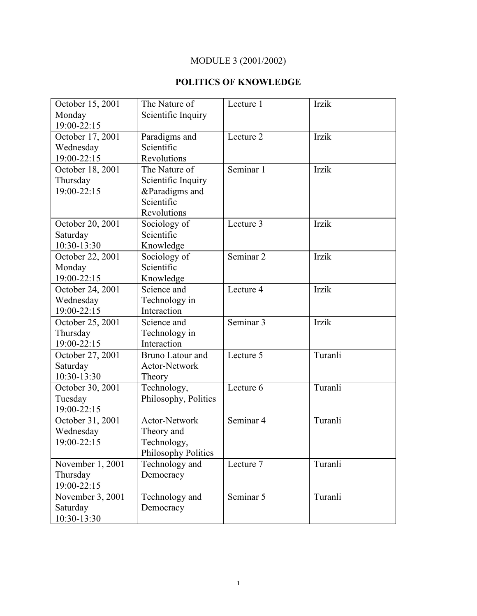# MODULE 3 (2001/2002)

## **POLITICS OF KNOWLEDGE**

| October 15, 2001 | The Nature of              | Lecture 1            | Irzik   |
|------------------|----------------------------|----------------------|---------|
| Monday           | Scientific Inquiry         |                      |         |
| 19:00-22:15      |                            |                      |         |
| October 17, 2001 | Paradigms and              | Lecture 2            | Irzik   |
| Wednesday        | Scientific                 |                      |         |
| 19:00-22:15      | Revolutions                |                      |         |
| October 18, 2001 | The Nature of              | Seminar 1            | Irzik   |
| Thursday         | Scientific Inquiry         |                      |         |
| 19:00-22:15      | &Paradigms and             |                      |         |
|                  | Scientific                 |                      |         |
|                  | Revolutions                |                      |         |
| October 20, 2001 | Sociology of               | Lecture 3            | Irzik   |
| Saturday         | Scientific                 |                      |         |
| 10:30-13:30      | Knowledge                  |                      |         |
| October 22, 2001 | Sociology of               | Seminar <sub>2</sub> | Irzik   |
| Monday           | Scientific                 |                      |         |
| 19:00-22:15      | Knowledge                  |                      |         |
| October 24, 2001 | Science and                | Lecture 4            | Irzik   |
| Wednesday        | Technology in              |                      |         |
| 19:00-22:15      | Interaction                |                      |         |
| October 25, 2001 | Science and                | Seminar 3            | Irzik   |
| Thursday         | Technology in              |                      |         |
| 19:00-22:15      | Interaction                |                      |         |
| October 27, 2001 | <b>Bruno Latour and</b>    | Lecture 5            | Turanli |
| Saturday         | Actor-Network              |                      |         |
| 10:30-13:30      | Theory                     |                      |         |
| October 30, 2001 | Technology,                | Lecture 6            | Turanli |
| Tuesday          | Philosophy, Politics       |                      |         |
| 19:00-22:15      |                            |                      |         |
| October 31, 2001 | Actor-Network              | Seminar 4            | Turanli |
| Wednesday        | Theory and                 |                      |         |
| 19:00-22:15      | Technology,                |                      |         |
|                  | <b>Philosophy Politics</b> |                      |         |
| November 1, 2001 | Technology and             | Lecture 7            | Turanli |
| Thursday         | Democracy                  |                      |         |
| 19:00-22:15      |                            |                      |         |
| November 3, 2001 | Technology and             | Seminar 5            | Turanli |
| Saturday         | Democracy                  |                      |         |
| 10:30-13:30      |                            |                      |         |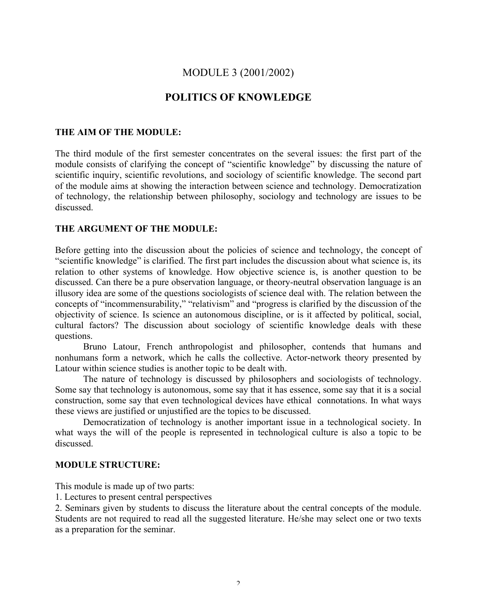## MODULE 3 (2001/2002)

## **POLITICS OF KNOWLEDGE**

### **THE AIM OF THE MODULE:**

The third module of the first semester concentrates on the several issues: the first part of the module consists of clarifying the concept of "scientific knowledge" by discussing the nature of scientific inquiry, scientific revolutions, and sociology of scientific knowledge. The second part of the module aims at showing the interaction between science and technology. Democratization of technology, the relationship between philosophy, sociology and technology are issues to be discussed.

### **THE ARGUMENT OF THE MODULE:**

Before getting into the discussion about the policies of science and technology, the concept of "scientific knowledge" is clarified. The first part includes the discussion about what science is, its relation to other systems of knowledge. How objective science is, is another question to be discussed. Can there be a pure observation language, or theory-neutral observation language is an illusory idea are some of the questions sociologists of science deal with. The relation between the concepts of "incommensurability," "relativism" and "progress is clarified by the discussion of the objectivity of science. Is science an autonomous discipline, or is it affected by political, social, cultural factors? The discussion about sociology of scientific knowledge deals with these questions.

Bruno Latour, French anthropologist and philosopher, contends that humans and nonhumans form a network, which he calls the collective. Actor-network theory presented by Latour within science studies is another topic to be dealt with.

The nature of technology is discussed by philosophers and sociologists of technology. Some say that technology is autonomous, some say that it has essence, some say that it is a social construction, some say that even technological devices have ethical connotations. In what ways these views are justified or unjustified are the topics to be discussed.

Democratization of technology is another important issue in a technological society. In what ways the will of the people is represented in technological culture is also a topic to be discussed.

#### **MODULE STRUCTURE:**

This module is made up of two parts:

1. Lectures to present central perspectives

2. Seminars given by students to discuss the literature about the central concepts of the module. Students are not required to read all the suggested literature. He/she may select one or two texts as a preparation for the seminar.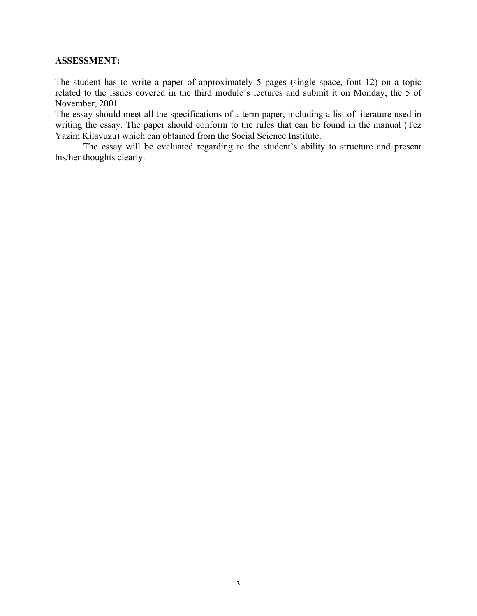## **ASSESSMENT:**

The student has to write a paper of approximately 5 pages (single space, font 12) on a topic related to the issues covered in the third module's lectures and submit it on Monday, the 5 of November, 2001.

The essay should meet all the specifications of a term paper, including a list of literature used in writing the essay. The paper should conform to the rules that can be found in the manual (Tez Yazim Kilavuzu) which can obtained from the Social Science Institute.

The essay will be evaluated regarding to the student's ability to structure and present his/her thoughts clearly.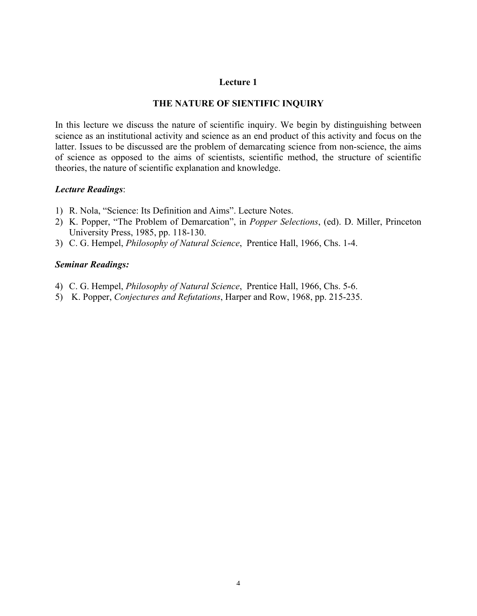### **THE NATURE OF SIENTIFIC INQUIRY**

In this lecture we discuss the nature of scientific inquiry. We begin by distinguishing between science as an institutional activity and science as an end product of this activity and focus on the latter. Issues to be discussed are the problem of demarcating science from non-science, the aims of science as opposed to the aims of scientists, scientific method, the structure of scientific theories, the nature of scientific explanation and knowledge.

### *Lecture Readings*:

- 1) R. Nola, "Science: Its Definition and Aims". Lecture Notes.
- 2) K. Popper, "The Problem of Demarcation", in *Popper Selections*, (ed). D. Miller, Princeton University Press, 1985, pp. 118-130.
- 3) C. G. Hempel, *Philosophy of Natural Science*, Prentice Hall, 1966, Chs. 1-4.

### *Seminar Readings:*

- 4) C. G. Hempel, *Philosophy of Natural Science*, Prentice Hall, 1966, Chs. 5-6.
- 5) K. Popper, *Conjectures and Refutations*, Harper and Row, 1968, pp. 215-235.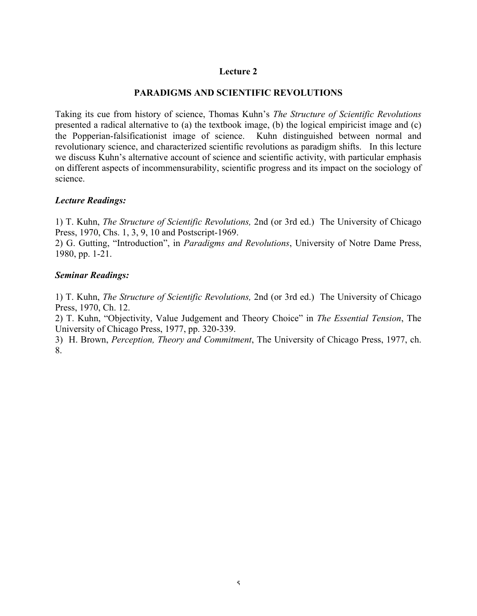## **PARADIGMS AND SCIENTIFIC REVOLUTIONS**

Taking its cue from history of science, Thomas Kuhn's *The Structure of Scientific Revolutions* presented a radical alternative to (a) the textbook image, (b) the logical empiricist image and (c) the Popperian-falsificationist image of science. Kuhn distinguished between normal and revolutionary science, and characterized scientific revolutions as paradigm shifts. In this lecture we discuss Kuhn's alternative account of science and scientific activity, with particular emphasis on different aspects of incommensurability, scientific progress and its impact on the sociology of science.

### *Lecture Readings:*

1) T. Kuhn, *The Structure of Scientific Revolutions,* 2nd (or 3rd ed.) The University of Chicago Press, 1970, Chs. 1, 3, 9, 10 and Postscript-1969.

2) G. Gutting, "Introduction", in *Paradigms and Revolutions*, University of Notre Dame Press, 1980, pp. 1-21.

### *Seminar Readings:*

1) T. Kuhn, *The Structure of Scientific Revolutions,* 2nd (or 3rd ed.) The University of Chicago Press, 1970, Ch. 12.

2) T. Kuhn, "Objectivity, Value Judgement and Theory Choice" in *The Essential Tension*, The University of Chicago Press, 1977, pp. 320-339.

3) H. Brown, *Perception, Theory and Commitment*, The University of Chicago Press, 1977, ch. 8.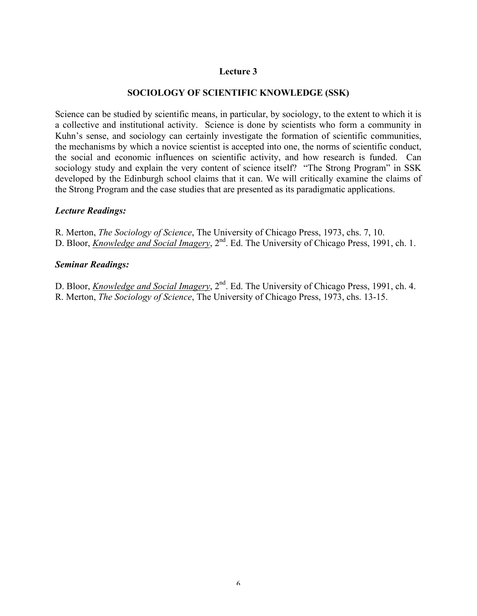## **SOCIOLOGY OF SCIENTIFIC KNOWLEDGE (SSK)**

Science can be studied by scientific means, in particular, by sociology, to the extent to which it is a collective and institutional activity. Science is done by scientists who form a community in Kuhn's sense, and sociology can certainly investigate the formation of scientific communities, the mechanisms by which a novice scientist is accepted into one, the norms of scientific conduct, the social and economic influences on scientific activity, and how research is funded. Can sociology study and explain the very content of science itself? "The Strong Program" in SSK developed by the Edinburgh school claims that it can. We will critically examine the claims of the Strong Program and the case studies that are presented as its paradigmatic applications.

## *Lecture Readings:*

R. Merton, *The Sociology of Science*, The University of Chicago Press, 1973, chs. 7, 10. D. Bloor, *Knowledge and Social Imagery*, 2<sup>nd</sup>. Ed. The University of Chicago Press, 1991, ch. 1.

## *Seminar Readings:*

D. Bloor, *Knowledge and Social Imagery*, 2<sup>nd</sup>. Ed. The University of Chicago Press, 1991, ch. 4. R. Merton, *The Sociology of Science*, The University of Chicago Press, 1973, chs. 13-15.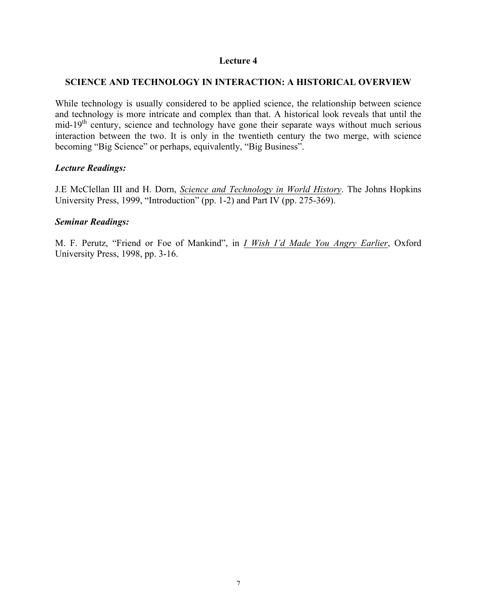## **SCIENCE AND TECHNOLOGY IN INTERACTION: A HISTORICAL OVERVIEW**

While technology is usually considered to be applied science, the relationship between science and technology is more intricate and complex than that. A historical look reveals that until the mid-19<sup>th</sup> century, science and technology have gone their separate ways without much serious interaction between the two. It is only in the twentieth century the two merge, with science becoming "Big Science" or perhaps, equivalently, "Big Business".

## *Lecture Readings:*

J.E McClellan III and H. Dorn, *Science and Technology in World History*. The Johns Hopkins University Press, 1999, "Introduction" (pp. 1-2) and Part IV (pp. 275-369).

## *Seminar Readings:*

M. F. Perutz, "Friend or Foe of Mankind", in *I Wish I'd Made You Angry Earlier*, Oxford University Press, 1998, pp. 3-16.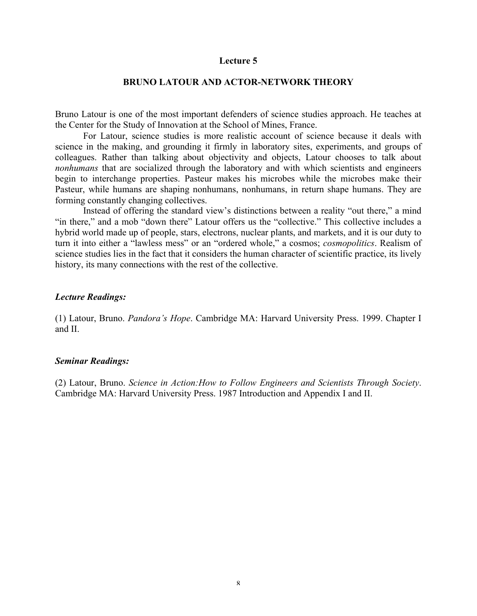#### **BRUNO LATOUR AND ACTOR-NETWORK THEORY**

Bruno Latour is one of the most important defenders of science studies approach. He teaches at the Center for the Study of Innovation at the School of Mines, France.

For Latour, science studies is more realistic account of science because it deals with science in the making, and grounding it firmly in laboratory sites, experiments, and groups of colleagues. Rather than talking about objectivity and objects, Latour chooses to talk about *nonhumans* that are socialized through the laboratory and with which scientists and engineers begin to interchange properties. Pasteur makes his microbes while the microbes make their Pasteur, while humans are shaping nonhumans, nonhumans, in return shape humans. They are forming constantly changing collectives.

Instead of offering the standard view's distinctions between a reality "out there," a mind "in there," and a mob "down there" Latour offers us the "collective." This collective includes a hybrid world made up of people, stars, electrons, nuclear plants, and markets, and it is our duty to turn it into either a "lawless mess" or an "ordered whole," a cosmos; *cosmopolitics*. Realism of science studies lies in the fact that it considers the human character of scientific practice, its lively history, its many connections with the rest of the collective.

#### *Lecture Readings:*

(1) Latour, Bruno. *Pandora's Hope*. Cambridge MA: Harvard University Press. 1999. Chapter I and II.

#### *Seminar Readings:*

(2) Latour, Bruno. *Science in Action:How to Follow Engineers and Scientists Through Society*. Cambridge MA: Harvard University Press. 1987 Introduction and Appendix I and II.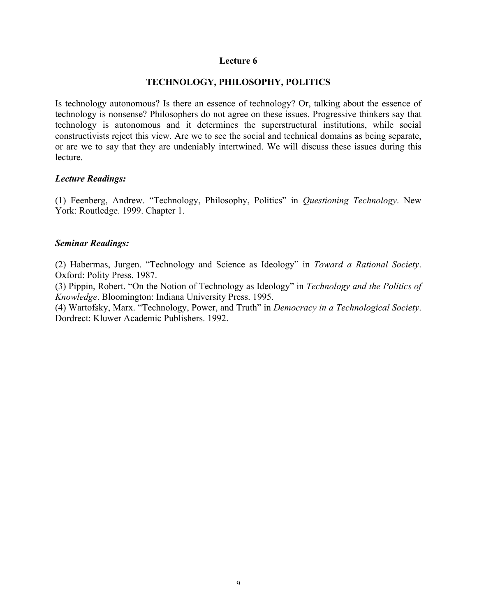## **TECHNOLOGY, PHILOSOPHY, POLITICS**

Is technology autonomous? Is there an essence of technology? Or, talking about the essence of technology is nonsense? Philosophers do not agree on these issues. Progressive thinkers say that technology is autonomous and it determines the superstructural institutions, while social constructivists reject this view. Are we to see the social and technical domains as being separate, or are we to say that they are undeniably intertwined. We will discuss these issues during this **lecture** 

#### *Lecture Readings:*

(1) Feenberg, Andrew. "Technology, Philosophy, Politics" in *Questioning Technology*. New York: Routledge. 1999. Chapter 1.

### *Seminar Readings:*

(2) Habermas, Jurgen. "Technology and Science as Ideology" in *Toward a Rational Society*. Oxford: Polity Press. 1987.

(3) Pippin, Robert. "On the Notion of Technology as Ideology" in *Technology and the Politics of Knowledge*. Bloomington: Indiana University Press. 1995.

(4) Wartofsky, Marx. "Technology, Power, and Truth" in *Democracy in a Technological Society*. Dordrect: Kluwer Academic Publishers. 1992.